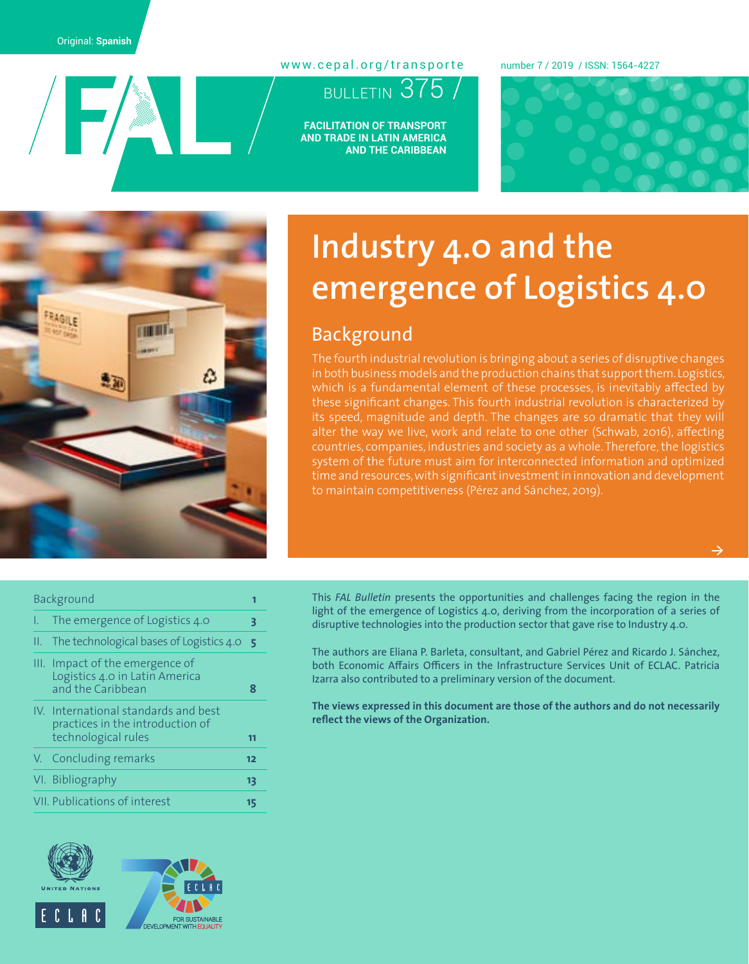$/$   $\blacktriangleright$   $/$ 

#### [www.cepal.org/transporte](http://www.cepal.org/transporte)

## BULLETIN 375

**FACILITATION OF TRANSPORT AND TRADE IN LATIN AMERICA AND THE CARIBBEAN**

#### number 7 / 2019 / ISSN: 1564-4227





# **Industry 4.0 and the emergence of Logistics 4.0**

### Background

The fourth industrial revolution is bringing about a series of disruptive changes in both business models and the production chains that support them. Logistics, which is a fundamental element of these processes, is inevitably affected by these significant changes. This fourth industrial revolution is characterized by its speed, magnitude and depth. The changes are so dramatic that they will alter the way we live, work and relate to one other (Schwab, 2016), affecting countries, companies, industries and society as a whole. Therefore, the logistics system of the future must aim for interconnected information and optimized time and resources, with significant investment in innovation and development to maintain competitiveness (Pérez and Sánchez, 2019).

#### Background **1**

| I. The emergence of Logistics 4.0                                                               |    |
|-------------------------------------------------------------------------------------------------|----|
| II. The technological bases of Logistics $4.0$                                                  |    |
| III. Impact of the emergence of<br>Logistics 4.0 in Latin America<br>and the Caribbean          | я  |
| IV. International standards and best<br>practices in the introduction of<br>technological rules | m  |
| V. Concluding remarks                                                                           | 12 |
| VI. Bibliography                                                                                | Ľ  |

[VII. Publications of interest](#page-14-0) **15**





This *FAL Bulletin* presents the opportunities and challenges facing the region in the light of the emergence of Logistics 4.0, deriving from the incorporation of a series of disruptive technologies into the production sector that gave rise to Industry 4.0.

The authors are Eliana P. Barleta, consultant, and Gabriel Pérez and Ricardo J. Sánchez, both Economic Affairs Officers in the Infrastructure Services Unit of ECLAC. Patricia Izarra also contributed to a preliminary version of the document.

**The views expressed in this document are those of the authors and do not necessarily reflect the views of the Organization.**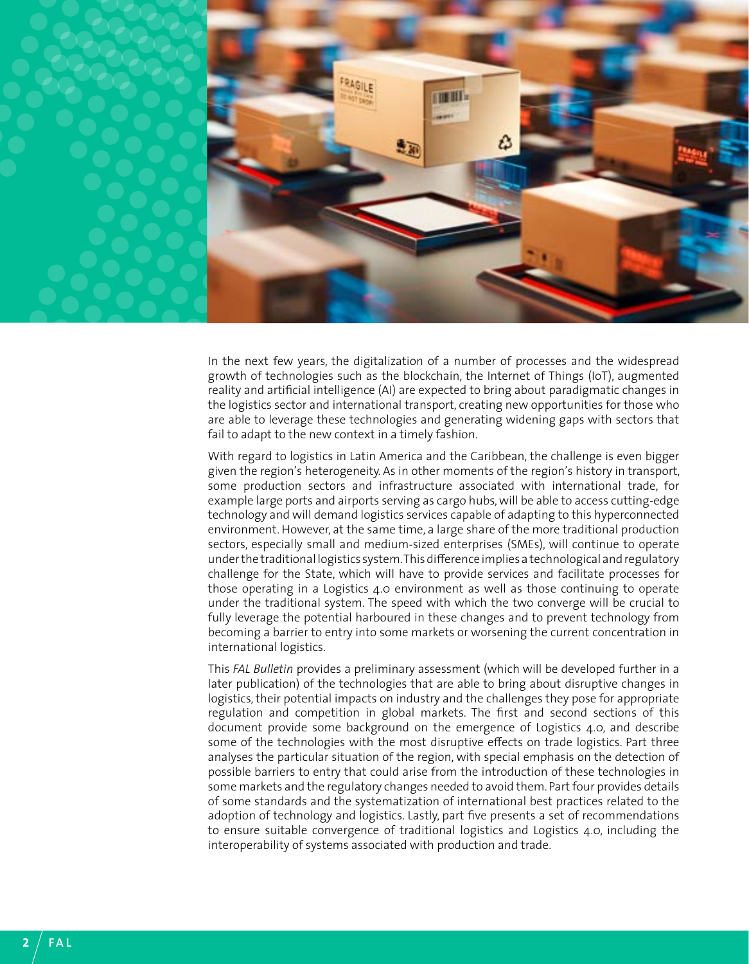

In the next few years, the digitalization of a number of processes and the widespread growth of technologies such as the blockchain, the Internet of Things (IoT), augmented reality and artificial intelligence (AI) are expected to bring about paradigmatic changes in the logistics sector and international transport, creating new opportunities for those who are able to leverage these technologies and generating widening gaps with sectors that fail to adapt to the new context in a timely fashion.

With regard to logistics in Latin America and the Caribbean, the challenge is even bigger given the region's heterogeneity. As in other moments of the region's history in transport, some production sectors and infrastructure associated with international trade, for example large ports and airports serving as cargo hubs, will be able to access cutting-edge technology and will demand logistics services capable of adapting to this hyperconnected environment. However, at the same time, a large share of the more traditional production sectors, especially small and medium-sized enterprises (SMEs), will continue to operate under the traditional logistics system. This difference implies a technological and regulatory challenge for the State, which will have to provide services and facilitate processes for those operating in a Logistics 4.0 environment as well as those continuing to operate under the traditional system. The speed with which the two converge will be crucial to fully leverage the potential harboured in these changes and to prevent technology from becoming a barrier to entry into some markets or worsening the current concentration in international logistics.

This *FAL Bulletin* provides a preliminary assessment (which will be developed further in a later publication) of the technologies that are able to bring about disruptive changes in logistics, their potential impacts on industry and the challenges they pose for appropriate regulation and competition in global markets. The first and second sections of this document provide some background on the emergence of Logistics 4.0, and describe some of the technologies with the most disruptive effects on trade logistics. Part three analyses the particular situation of the region, with special emphasis on the detection of possible barriers to entry that could arise from the introduction of these technologies in some markets and the regulatory changes needed to avoid them. Part four provides details of some standards and the systematization of international best practices related to the adoption of technology and logistics. Lastly, part five presents a set of recommendations to ensure suitable convergence of traditional logistics and Logistics 4.0, including the interoperability of systems associated with production and trade.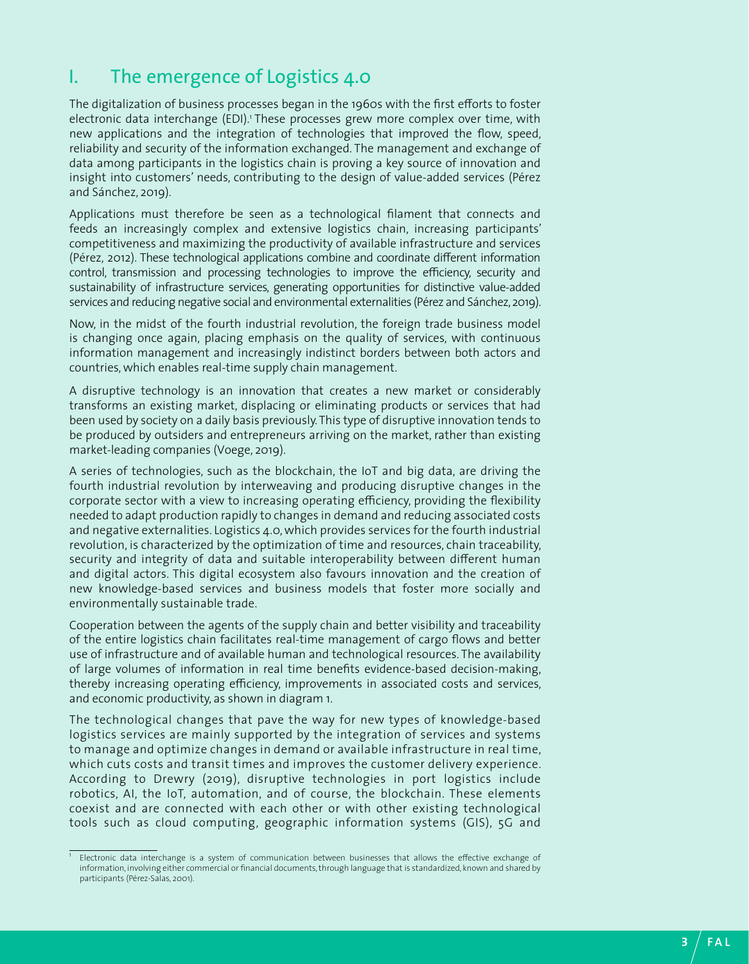### <span id="page-2-0"></span>I. The emergence of Logistics 4.0

The digitalization of business processes began in the 1960s with the first efforts to foster electronic data interchange (EDI).<sup>1</sup> These processes grew more complex over time, with new applications and the integration of technologies that improved the flow, speed, reliability and security of the information exchanged. The management and exchange of data among participants in the logistics chain is proving a key source of innovation and insight into customers' needs, contributing to the design of value-added services (Pérez and Sánchez, 2019).

Applications must therefore be seen as a technological filament that connects and feeds an increasingly complex and extensive logistics chain, increasing participants' competitiveness and maximizing the productivity of available infrastructure and services (Pérez, 2012). These technological applications combine and coordinate different information control, transmission and processing technologies to improve the efficiency, security and sustainability of infrastructure services, generating opportunities for distinctive value-added services and reducing negative social and environmental externalities (Pérez and Sánchez, 2019).

Now, in the midst of the fourth industrial revolution, the foreign trade business model is changing once again, placing emphasis on the quality of services, with continuous information management and increasingly indistinct borders between both actors and countries, which enables real-time supply chain management.

A disruptive technology is an innovation that creates a new market or considerably transforms an existing market, displacing or eliminating products or services that had been used by society on a daily basis previously. This type of disruptive innovation tends to be produced by outsiders and entrepreneurs arriving on the market, rather than existing market-leading companies (Voege, 2019).

A series of technologies, such as the blockchain, the IoT and big data, are driving the fourth industrial revolution by interweaving and producing disruptive changes in the corporate sector with a view to increasing operating efficiency, providing the flexibility needed to adapt production rapidly to changes in demand and reducing associated costs and negative externalities. Logistics 4.0, which provides services for the fourth industrial revolution, is characterized by the optimization of time and resources, chain traceability, security and integrity of data and suitable interoperability between different human and digital actors. This digital ecosystem also favours innovation and the creation of new knowledge-based services and business models that foster more socially and environmentally sustainable trade.

Cooperation between the agents of the supply chain and better visibility and traceability of the entire logistics chain facilitates real-time management of cargo flows and better use of infrastructure and of available human and technological resources. The availability of large volumes of information in real time benefits evidence-based decision-making, thereby increasing operating efficiency, improvements in associated costs and services, and economic productivity, as shown in diagram 1.

The technological changes that pave the way for new types of knowledge-based logistics services are mainly supported by the integration of services and systems to manage and optimize changes in demand or available infrastructure in real time, which cuts costs and transit times and improves the customer delivery experience. According to Drewry (2019), disruptive technologies in port logistics include robotics, AI, the IoT, automation, and of course, the blockchain. These elements coexist and are connected with each other or with other existing technological tools such as cloud computing, geographic information systems (GIS), 5G and

<sup>&</sup>lt;sup>1</sup> Electronic data interchange is a system of communication between businesses that allows the effective exchange of information, involving either commercial or financial documents, through language that is standardized, known and shared by participants (Pérez-Salas, 2001).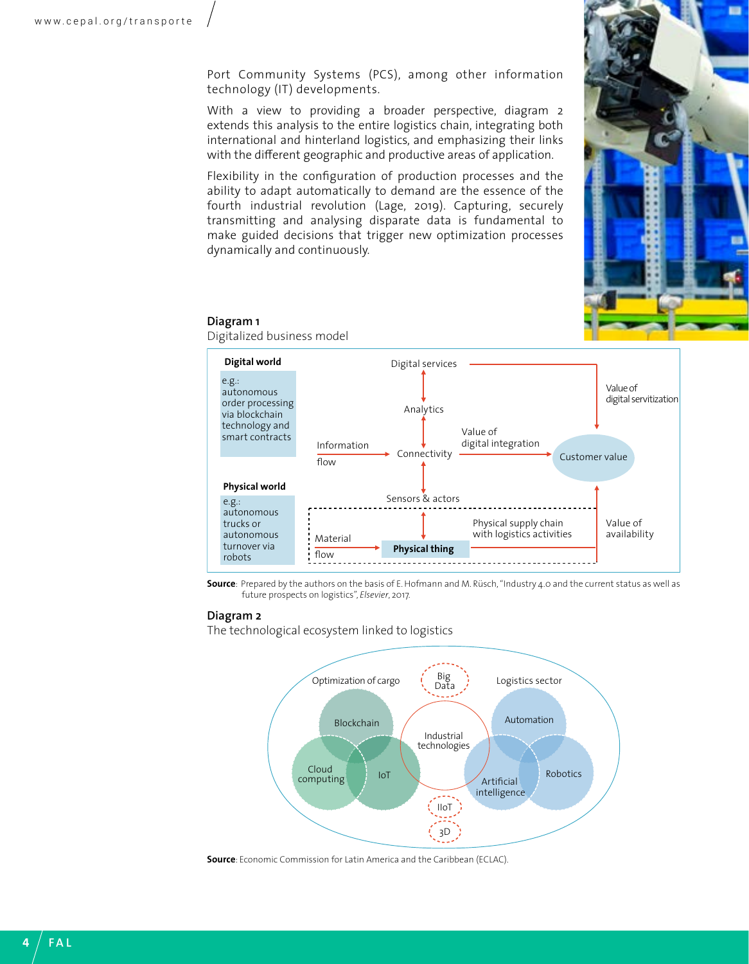Port Community Systems (PCS), among other information technology (IT) developments.

With a view to providing a broader perspective, diagram 2 extends this analysis to the entire logistics chain, integrating both international and hinterland logistics, and emphasizing their links with the different geographic and productive areas of application.

Flexibility in the configuration of production processes and the ability to adapt automatically to demand are the essence of the fourth industrial revolution (Lage, 2019). Capturing, securely transmitting and analysing disparate data is fundamental to make guided decisions that trigger new optimization processes dynamically and continuously.



#### **Diagram 1**

Digitalized business model



**Source**: Prepared by the authors on the basis of E. Hofmann and M. Rüsch, "Industry 4.0 and the current status as well as future prospects on logistics", *Elsevier*, 2017.

#### **Diagram 2**

The technological ecosystem linked to logistics



**Source**: Economic Commission for Latin America and the Caribbean (ECLAC).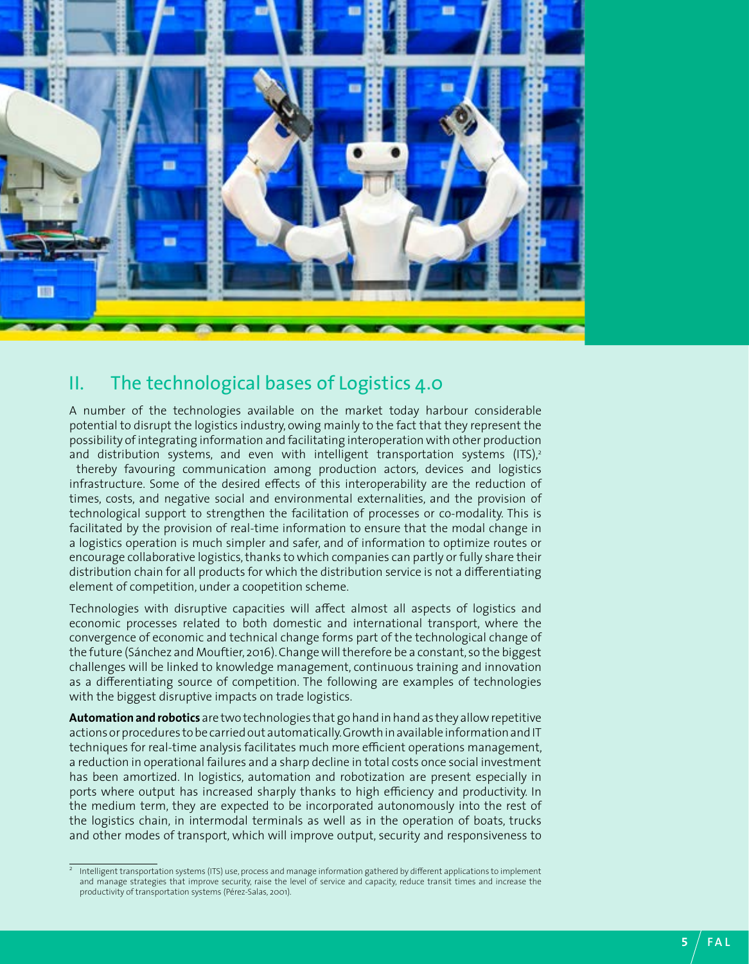<span id="page-4-0"></span>

### II. The technological bases of Logistics 4.0

A number of the technologies available on the market today harbour considerable potential to disrupt the logistics industry, owing mainly to the fact that they represent the possibility of integrating information and facilitating interoperation with other production and distribution systems, and even with intelligent transportation systems  $(ITS)<sub>2</sub>$ 

 thereby favouring communication among production actors, devices and logistics infrastructure. Some of the desired effects of this interoperability are the reduction of times, costs, and negative social and environmental externalities, and the provision of technological support to strengthen the facilitation of processes or co-modality. This is facilitated by the provision of real-time information to ensure that the modal change in a logistics operation is much simpler and safer, and of information to optimize routes or encourage collaborative logistics, thanks to which companies can partly or fully share their distribution chain for all products for which the distribution service is not a differentiating element of competition, under a coopetition scheme.

Technologies with disruptive capacities will affect almost all aspects of logistics and economic processes related to both domestic and international transport, where the convergence of economic and technical change forms part of the technological change of the future (Sánchez and Mouftier, 2016). Change will therefore be a constant, so the biggest challenges will be linked to knowledge management, continuous training and innovation as a differentiating source of competition. The following are examples of technologies with the biggest disruptive impacts on trade logistics.

**Automation and robotics** are two technologies that go hand in hand as they allow repetitive actions or procedures to be carried out automatically. Growth in available information and IT techniques for real-time analysis facilitates much more efficient operations management, a reduction in operational failures and a sharp decline in total costs once social investment has been amortized. In logistics, automation and robotization are present especially in ports where output has increased sharply thanks to high efficiency and productivity. In the medium term, they are expected to be incorporated autonomously into the rest of the logistics chain, in intermodal terminals as well as in the operation of boats, trucks and other modes of transport, which will improve output, security and responsiveness to

<sup>2</sup> Intelligent transportation systems (ITS) use, process and manage information gathered by different applications to implement and manage strategies that improve security, raise the level of service and capacity, reduce transit times and increase the productivity of transportation systems (Pérez-Salas, 2001).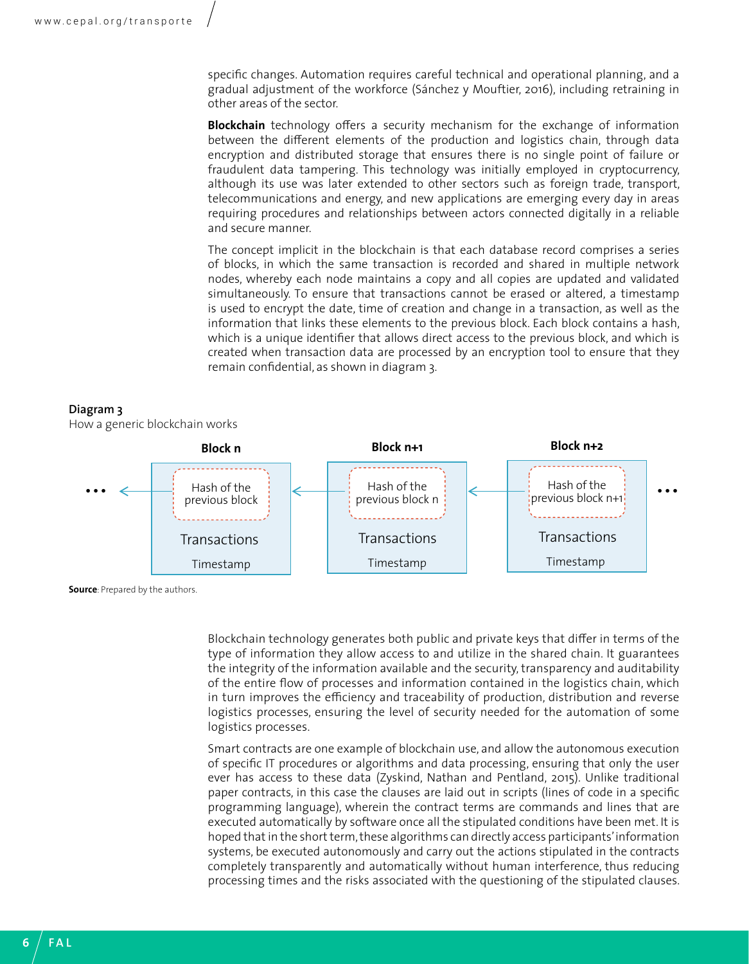specific changes. Automation requires careful technical and operational planning, and a gradual adjustment of the workforce (Sánchez y Mouftier, 2016), including retraining in other areas of the sector.

**Blockchain** technology offers a security mechanism for the exchange of information between the different elements of the production and logistics chain, through data encryption and distributed storage that ensures there is no single point of failure or fraudulent data tampering. This technology was initially employed in cryptocurrency, although its use was later extended to other sectors such as foreign trade, transport, telecommunications and energy, and new applications are emerging every day in areas requiring procedures and relationships between actors connected digitally in a reliable and secure manner.

The concept implicit in the blockchain is that each database record comprises a series of blocks, in which the same transaction is recorded and shared in multiple network nodes, whereby each node maintains a copy and all copies are updated and validated simultaneously. To ensure that transactions cannot be erased or altered, a timestamp is used to encrypt the date, time of creation and change in a transaction, as well as the information that links these elements to the previous block. Each block contains a hash, which is a unique identifier that allows direct access to the previous block, and which is created when transaction data are processed by an encryption tool to ensure that they remain confidential, as shown in diagram 3.

#### **Diagram 3**

How a generic blockchain works



**Source**: Prepared by the authors.

Blockchain technology generates both public and private keys that differ in terms of the type of information they allow access to and utilize in the shared chain. It guarantees the integrity of the information available and the security, transparency and auditability of the entire flow of processes and information contained in the logistics chain, which in turn improves the efficiency and traceability of production, distribution and reverse logistics processes, ensuring the level of security needed for the automation of some logistics processes.

Smart contracts are one example of blockchain use, and allow the autonomous execution of specific IT procedures or algorithms and data processing, ensuring that only the user ever has access to these data (Zyskind, Nathan and Pentland, 2015). Unlike traditional paper contracts, in this case the clauses are laid out in scripts (lines of code in a specific programming language), wherein the contract terms are commands and lines that are executed automatically by software once all the stipulated conditions have been met. It is hoped that in the short term, these algorithms can directly access participants' information systems, be executed autonomously and carry out the actions stipulated in the contracts completely transparently and automatically without human interference, thus reducing processing times and the risks associated with the questioning of the stipulated clauses.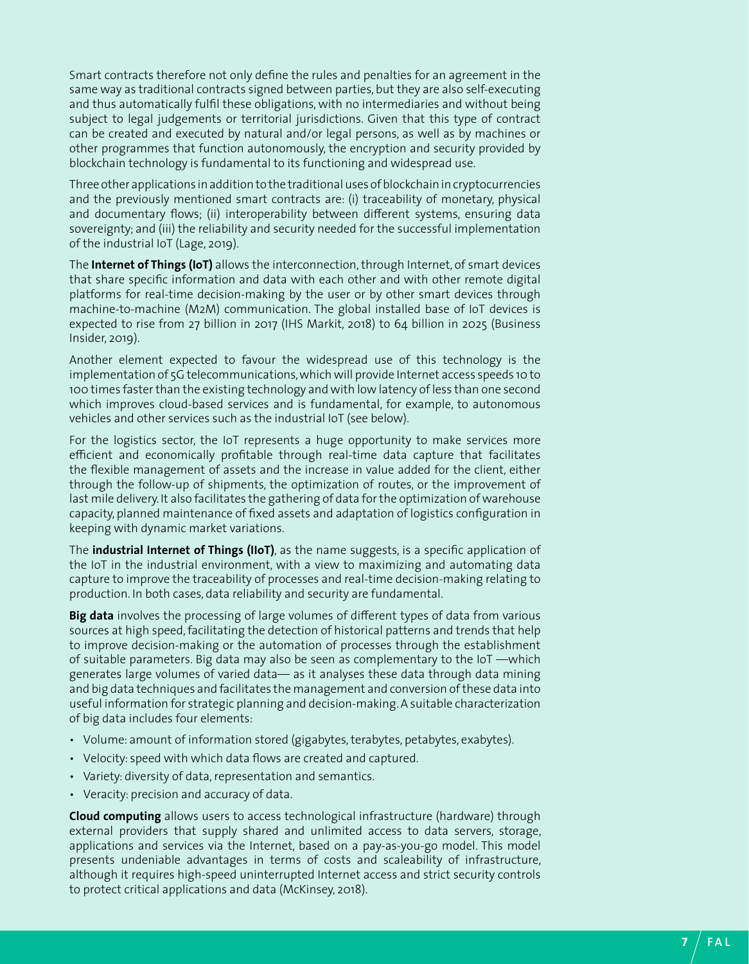Smart contracts therefore not only define the rules and penalties for an agreement in the same way as traditional contracts signed between parties, but they are also self-executing and thus automatically fulfil these obligations, with no intermediaries and without being subject to legal judgements or territorial jurisdictions. Given that this type of contract can be created and executed by natural and/or legal persons, as well as by machines or other programmes that function autonomously, the encryption and security provided by blockchain technology is fundamental to its functioning and widespread use.

Three other applications in addition to the traditional uses of blockchain in cryptocurrencies and the previously mentioned smart contracts are: (i) traceability of monetary, physical and documentary flows; (ii) interoperability between different systems, ensuring data sovereignty; and (iii) the reliability and security needed for the successful implementation of the industrial IoT (Lage, 2019).

The **Internet of Things (IoT)** allows the interconnection, through Internet, of smart devices that share specific information and data with each other and with other remote digital platforms for real-time decision-making by the user or by other smart devices through machine-to-machine (M2M) communication. The global installed base of IoT devices is expected to rise from 27 billion in 2017 (IHS Markit, 2018) to 64 billion in 2025 (Business Insider, 2019).

Another element expected to favour the widespread use of this technology is the implementation of 5G telecommunications, which will provide Internet access speeds 10 to 100 times faster than the existing technology and with low latency of less than one second which improves cloud-based services and is fundamental, for example, to autonomous vehicles and other services such as the industrial IoT (see below).

For the logistics sector, the IoT represents a huge opportunity to make services more efficient and economically profitable through real-time data capture that facilitates the flexible management of assets and the increase in value added for the client, either through the follow-up of shipments, the optimization of routes, or the improvement of last mile delivery. It also facilitates the gathering of data for the optimization of warehouse capacity, planned maintenance of fixed assets and adaptation of logistics configuration in keeping with dynamic market variations.

The **industrial Internet of Things (IIoT)**, as the name suggests, is a specific application of the IoT in the industrial environment, with a view to maximizing and automating data capture to improve the traceability of processes and real-time decision-making relating to production. In both cases, data reliability and security are fundamental.

**Big data** involves the processing of large volumes of different types of data from various sources at high speed, facilitating the detection of historical patterns and trends that help to improve decision-making or the automation of processes through the establishment of suitable parameters. Big data may also be seen as complementary to the IoT —which generates large volumes of varied data— as it analyses these data through data mining and big data techniques and facilitates the management and conversion of these data into useful information for strategic planning and decision-making. A suitable characterization of big data includes four elements:

- Volume: amount of information stored (gigabytes, terabytes, petabytes, exabytes).
- Velocity: speed with which data flows are created and captured.
- Variety: diversity of data, representation and semantics.
- Veracity: precision and accuracy of data.

**Cloud computing** allows users to access technological infrastructure (hardware) through external providers that supply shared and unlimited access to data servers, storage, applications and services via the Internet, based on a pay-as-you-go model. This model presents undeniable advantages in terms of costs and scaleability of infrastructure, although it requires high-speed uninterrupted Internet access and strict security controls to protect critical applications and data (McKinsey, 2018).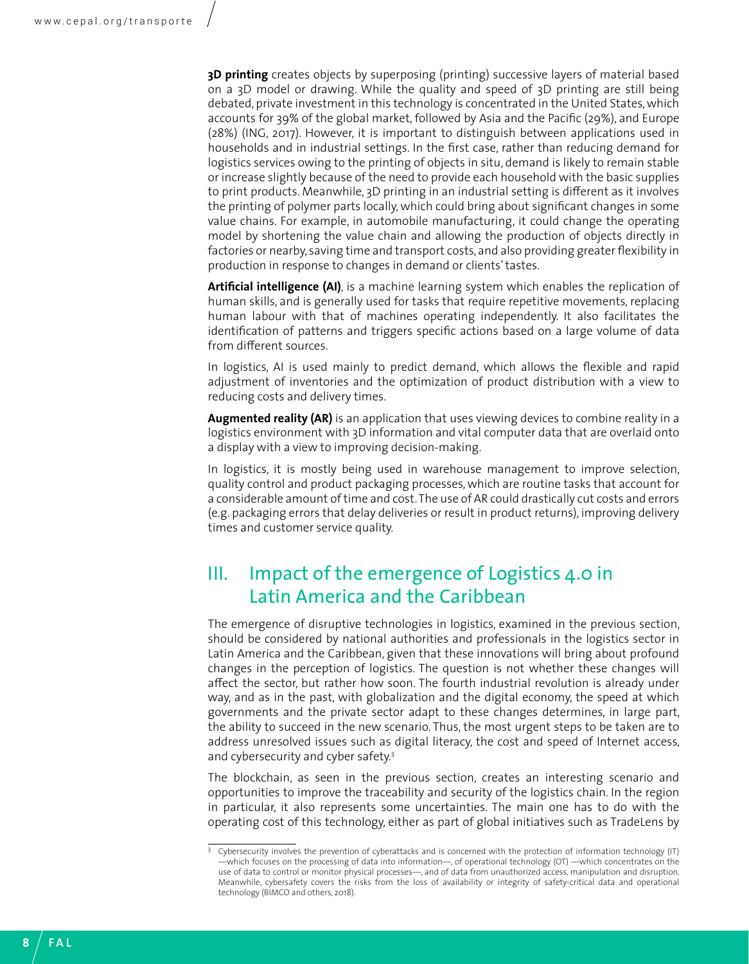<span id="page-7-0"></span>**3D printing** creates objects by superposing (printing) successive layers of material based on a 3D model or drawing. While the quality and speed of 3D printing are still being debated, private investment in this technology is concentrated in the United States, which accounts for 39% of the global market, followed by Asia and the Pacific (29%), and Europe (28%) (ING, 2017). However, it is important to distinguish between applications used in households and in industrial settings. In the first case, rather than reducing demand for logistics services owing to the printing of objects in situ, demand is likely to remain stable or increase slightly because of the need to provide each household with the basic supplies to print products. Meanwhile, 3D printing in an industrial setting is different as it involves the printing of polymer parts locally, which could bring about significant changes in some value chains. For example, in automobile manufacturing, it could change the operating model by shortening the value chain and allowing the production of objects directly in factories or nearby, saving time and transport costs, and also providing greater flexibility in production in response to changes in demand or clients' tastes.

**Artificial intelligence (AI)**, is a machine learning system which enables the replication of human skills, and is generally used for tasks that require repetitive movements, replacing human labour with that of machines operating independently. It also facilitates the identification of patterns and triggers specific actions based on a large volume of data from different sources.

In logistics, AI is used mainly to predict demand, which allows the flexible and rapid adjustment of inventories and the optimization of product distribution with a view to reducing costs and delivery times.

**Augmented reality (AR)** is an application that uses viewing devices to combine reality in a logistics environment with 3D information and vital computer data that are overlaid onto a display with a view to improving decision-making.

In logistics, it is mostly being used in warehouse management to improve selection, quality control and product packaging processes, which are routine tasks that account for a considerable amount of time and cost. The use of AR could drastically cut costs and errors (e.g. packaging errors that delay deliveries or result in product returns), improving delivery times and customer service quality.

### III. Impact of the emergence of Logistics 4.0 in Latin America and the Caribbean

The emergence of disruptive technologies in logistics, examined in the previous section, should be considered by national authorities and professionals in the logistics sector in Latin America and the Caribbean, given that these innovations will bring about profound changes in the perception of logistics. The question is not whether these changes will affect the sector, but rather how soon. The fourth industrial revolution is already under way, and as in the past, with globalization and the digital economy, the speed at which governments and the private sector adapt to these changes determines, in large part, the ability to succeed in the new scenario. Thus, the most urgent steps to be taken are to address unresolved issues such as digital literacy, the cost and speed of Internet access, and cybersecurity and cyber safety.3

The blockchain, as seen in the previous section, creates an interesting scenario and opportunities to improve the traceability and security of the logistics chain. In the region in particular, it also represents some uncertainties. The main one has to do with the operating cost of this technology, either as part of global initiatives such as TradeLens by

<sup>&</sup>lt;sup>3</sup> Cybersecurity involves the prevention of cyberattacks and is concerned with the protection of information technology (IT) —which focuses on the processing of data into information—, of operational technology (OT) —which concentrates on the use of data to control or monitor physical processes—, and of data from unauthorized access, manipulation and disruption. Meanwhile, cybersafety covers the risks from the loss of availability or integrity of safety-critical data and operational technology (BIMCO and others, 2018).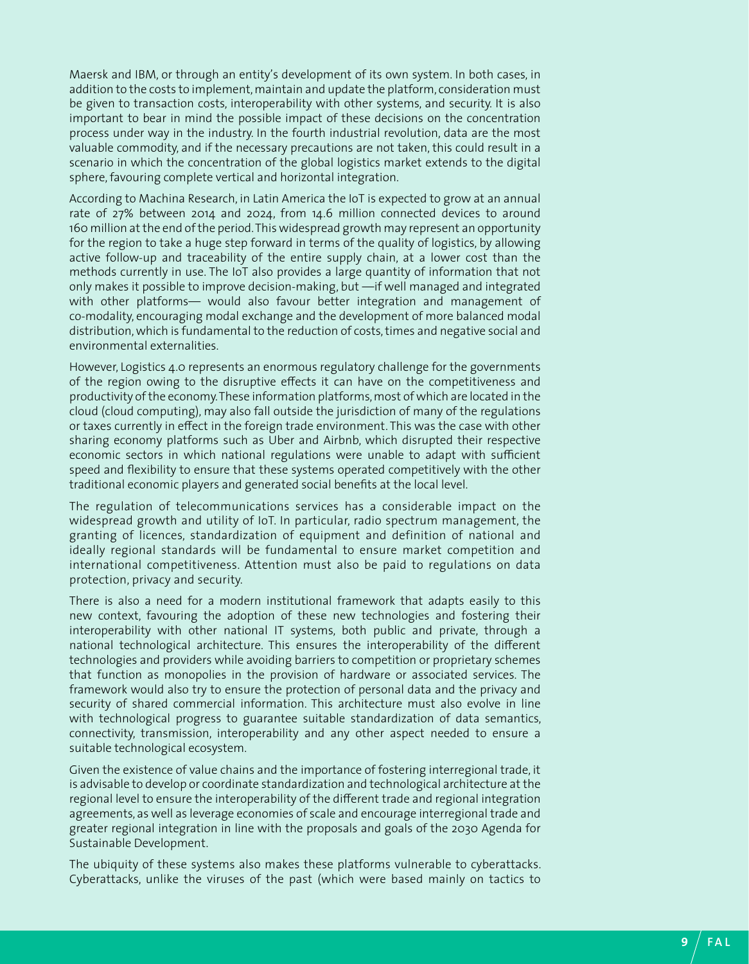Maersk and IBM, or through an entity's development of its own system. In both cases, in addition to the costs to implement, maintain and update the platform, consideration must be given to transaction costs, interoperability with other systems, and security. It is also important to bear in mind the possible impact of these decisions on the concentration process under way in the industry. In the fourth industrial revolution, data are the most valuable commodity, and if the necessary precautions are not taken, this could result in a scenario in which the concentration of the global logistics market extends to the digital sphere, favouring complete vertical and horizontal integration.

According to Machina Research, in Latin America the IoT is expected to grow at an annual rate of 27% between 2014 and 2024, from 14.6 million connected devices to around 160 million at the end of the period. This widespread growth may represent an opportunity for the region to take a huge step forward in terms of the quality of logistics, by allowing active follow-up and traceability of the entire supply chain, at a lower cost than the methods currently in use. The IoT also provides a large quantity of information that not only makes it possible to improve decision-making, but —if well managed and integrated with other platforms— would also favour better integration and management of co-modality, encouraging modal exchange and the development of more balanced modal distribution, which is fundamental to the reduction of costs, times and negative social and environmental externalities.

However, Logistics 4.0 represents an enormous regulatory challenge for the governments of the region owing to the disruptive effects it can have on the competitiveness and productivity of the economy. These information platforms, most of which are located in the cloud (cloud computing), may also fall outside the jurisdiction of many of the regulations or taxes currently in effect in the foreign trade environment. This was the case with other sharing economy platforms such as Uber and Airbnb, which disrupted their respective economic sectors in which national regulations were unable to adapt with sufficient speed and flexibility to ensure that these systems operated competitively with the other traditional economic players and generated social benefits at the local level.

The regulation of telecommunications services has a considerable impact on the widespread growth and utility of IoT. In particular, radio spectrum management, the granting of licences, standardization of equipment and definition of national and ideally regional standards will be fundamental to ensure market competition and international competitiveness. Attention must also be paid to regulations on data protection, privacy and security.

There is also a need for a modern institutional framework that adapts easily to this new context, favouring the adoption of these new technologies and fostering their interoperability with other national IT systems, both public and private, through a national technological architecture. This ensures the interoperability of the different technologies and providers while avoiding barriers to competition or proprietary schemes that function as monopolies in the provision of hardware or associated services. The framework would also try to ensure the protection of personal data and the privacy and security of shared commercial information. This architecture must also evolve in line with technological progress to guarantee suitable standardization of data semantics, connectivity, transmission, interoperability and any other aspect needed to ensure a suitable technological ecosystem.

Given the existence of value chains and the importance of fostering interregional trade, it is advisable to develop or coordinate standardization and technological architecture at the regional level to ensure the interoperability of the different trade and regional integration agreements, as well as leverage economies of scale and encourage interregional trade and greater regional integration in line with the proposals and goals of the 2030 Agenda for Sustainable Development.

The ubiquity of these systems also makes these platforms vulnerable to cyberattacks. Cyberattacks, unlike the viruses of the past (which were based mainly on tactics to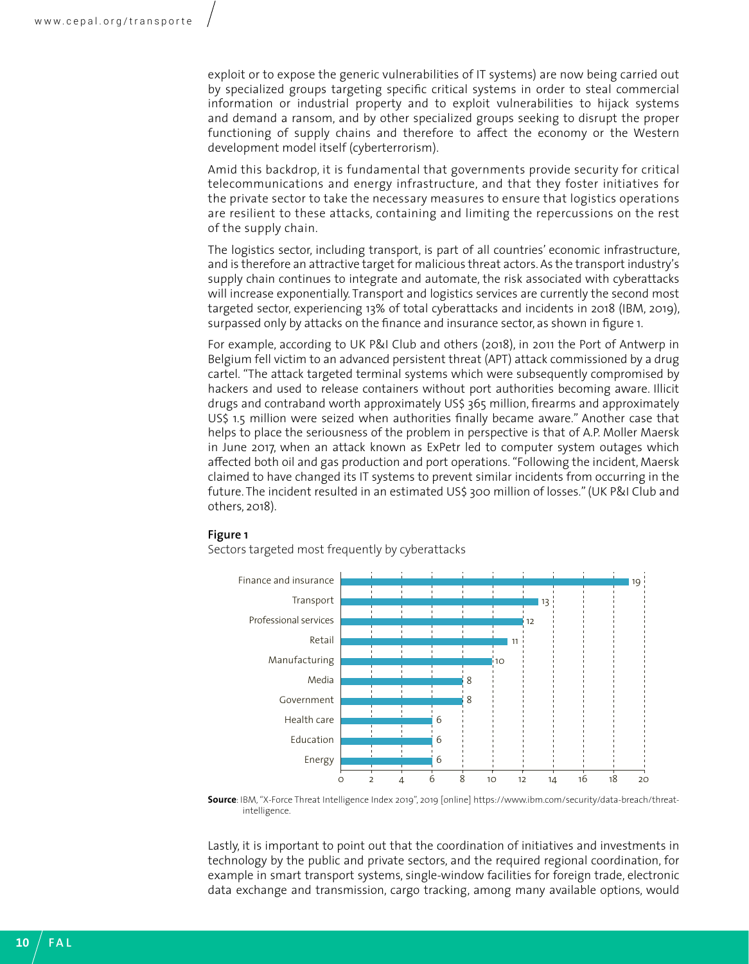exploit or to expose the generic vulnerabilities of IT systems) are now being carried out by specialized groups targeting specific critical systems in order to steal commercial information or industrial property and to exploit vulnerabilities to hijack systems and demand a ransom, and by other specialized groups seeking to disrupt the proper functioning of supply chains and therefore to affect the economy or the Western development model itself (cyberterrorism).

Amid this backdrop, it is fundamental that governments provide security for critical telecommunications and energy infrastructure, and that they foster initiatives for the private sector to take the necessary measures to ensure that logistics operations are resilient to these attacks, containing and limiting the repercussions on the rest of the supply chain.

The logistics sector, including transport, is part of all countries' economic infrastructure, and is therefore an attractive target for malicious threat actors. As the transport industry's supply chain continues to integrate and automate, the risk associated with cyberattacks will increase exponentially. Transport and logistics services are currently the second most targeted sector, experiencing 13% of total cyberattacks and incidents in 2018 (IBM, 2019), surpassed only by attacks on the finance and insurance sector, as shown in figure 1.

For example, according to UK P&I Club and others (2018), in 2011 the Port of Antwerp in Belgium fell victim to an advanced persistent threat (APT) attack commissioned by a drug cartel. "The attack targeted terminal systems which were subsequently compromised by hackers and used to release containers without port authorities becoming aware. Illicit drugs and contraband worth approximately US\$ 365 million, firearms and approximately US\$ 1.5 million were seized when authorities finally became aware." Another case that helps to place the seriousness of the problem in perspective is that of A.P. Moller Maersk in June 2017, when an attack known as ExPetr led to computer system outages which affected both oil and gas production and port operations. "Following the incident, Maersk claimed to have changed its IT systems to prevent similar incidents from occurring in the future. The incident resulted in an estimated US\$ 300 million of losses." (UK P&I Club and others, 2018).

#### **Figure 1**

Sectors targeted most frequently by cyberattacks



**Source**: IBM, "X-Force Threat Intelligence Index 2019", 2019 [online] https://www.ibm.com/security/data-breach/threatintelligence.

Lastly, it is important to point out that the coordination of initiatives and investments in technology by the public and private sectors, and the required regional coordination, for example in smart transport systems, single-window facilities for foreign trade, electronic data exchange and transmission, cargo tracking, among many available options, would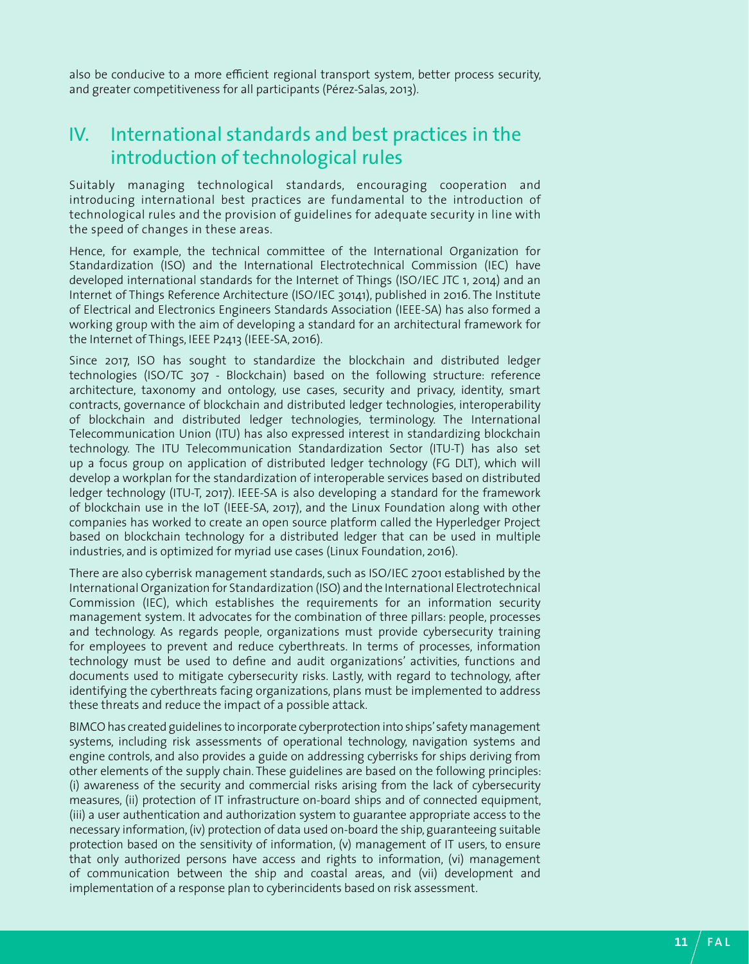<span id="page-10-0"></span>also be conducive to a more efficient regional transport system, better process security, and greater competitiveness for all participants (Pérez-Salas, 2013).

### IV. International standards and best practices in the introduction of technological rules

Suitably managing technological standards, encouraging cooperation and introducing international best practices are fundamental to the introduction of technological rules and the provision of guidelines for adequate security in line with the speed of changes in these areas.

Hence, for example, the technical committee of the International Organization for Standardization (ISO) and the International Electrotechnical Commission (IEC) have developed international standards for the Internet of Things (ISO/IEC JTC 1, 2014) and an Internet of Things Reference Architecture (ISO/IEC 30141), published in 2016. The Institute of Electrical and Electronics Engineers Standards Association (IEEE-SA) has also formed a working group with the aim of developing a standard for an architectural framework for the Internet of Things, IEEE P2413 (IEEE-SA, 2016).

Since 2017, ISO has sought to standardize the blockchain and distributed ledger technologies (ISO/TC 307 - Blockchain) based on the following structure: reference architecture, taxonomy and ontology, use cases, security and privacy, identity, smart contracts, governance of blockchain and distributed ledger technologies, interoperability of blockchain and distributed ledger technologies, terminology. The International Telecommunication Union (ITU) has also expressed interest in standardizing blockchain technology. The ITU Telecommunication Standardization Sector (ITU-T) has also set up a focus group on application of distributed ledger technology (FG DLT), which will develop a workplan for the standardization of interoperable services based on distributed ledger technology (ITU-T, 2017). IEEE-SA is also developing a standard for the framework of blockchain use in the IoT (IEEE-SA, 2017), and the Linux Foundation along with other companies has worked to create an open source platform called the Hyperledger Project based on blockchain technology for a distributed ledger that can be used in multiple industries, and is optimized for myriad use cases (Linux Foundation, 2016).

There are also cyberrisk management standards, such as ISO/IEC 27001 established by the International Organization for Standardization (ISO) and the International Electrotechnical Commission (IEC), which establishes the requirements for an information security management system. It advocates for the combination of three pillars: people, processes and technology. As regards people, organizations must provide cybersecurity training for employees to prevent and reduce cyberthreats. In terms of processes, information technology must be used to define and audit organizations' activities, functions and documents used to mitigate cybersecurity risks. Lastly, with regard to technology, after identifying the cyberthreats facing organizations, plans must be implemented to address these threats and reduce the impact of a possible attack.

BIMCO has created guidelines to incorporate cyberprotection into ships' safety management systems, including risk assessments of operational technology, navigation systems and engine controls, and also provides a guide on addressing cyberrisks for ships deriving from other elements of the supply chain. These guidelines are based on the following principles: (i) awareness of the security and commercial risks arising from the lack of cybersecurity measures, (ii) protection of IT infrastructure on-board ships and of connected equipment, (iii) a user authentication and authorization system to guarantee appropriate access to the necessary information, (iv) protection of data used on-board the ship, guaranteeing suitable protection based on the sensitivity of information, (v) management of IT users, to ensure that only authorized persons have access and rights to information, (vi) management of communication between the ship and coastal areas, and (vii) development and implementation of a response plan to cyberincidents based on risk assessment.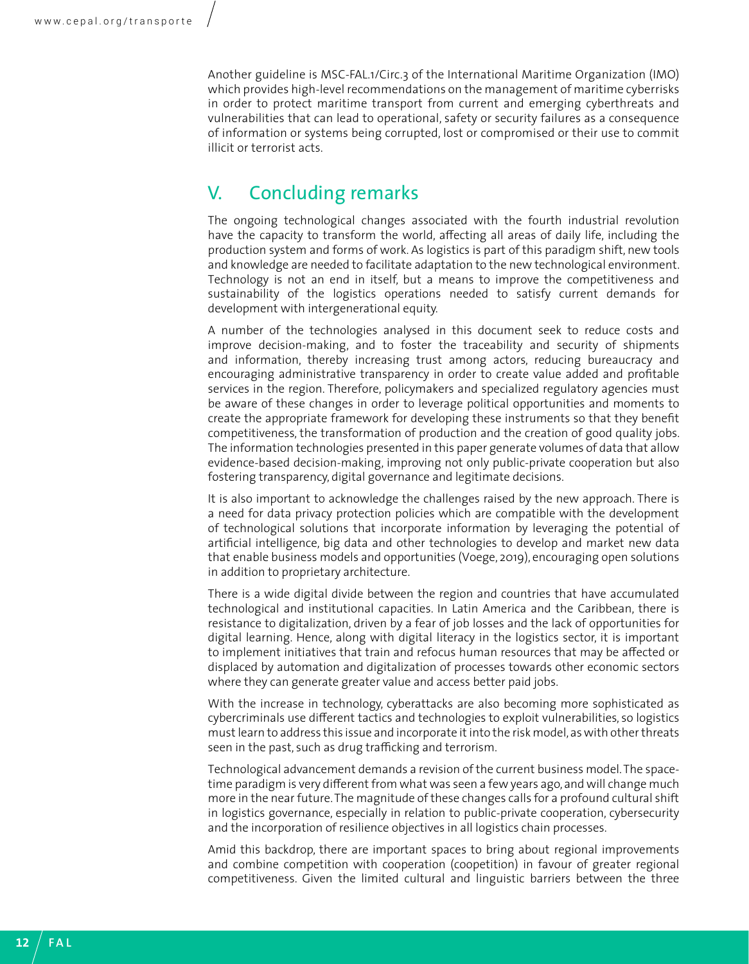<span id="page-11-0"></span>Another guideline is MSC-FAL.1/Circ.3 of the International Maritime Organization (IMO) which provides high-level recommendations on the management of maritime cyberrisks in order to protect maritime transport from current and emerging cyberthreats and vulnerabilities that can lead to operational, safety or security failures as a consequence of information or systems being corrupted, lost or compromised or their use to commit illicit or terrorist acts.

### V. Concluding remarks

The ongoing technological changes associated with the fourth industrial revolution have the capacity to transform the world, affecting all areas of daily life, including the production system and forms of work. As logistics is part of this paradigm shift, new tools and knowledge are needed to facilitate adaptation to the new technological environment. Technology is not an end in itself, but a means to improve the competitiveness and sustainability of the logistics operations needed to satisfy current demands for development with intergenerational equity.

A number of the technologies analysed in this document seek to reduce costs and improve decision-making, and to foster the traceability and security of shipments and information, thereby increasing trust among actors, reducing bureaucracy and encouraging administrative transparency in order to create value added and profitable services in the region. Therefore, policymakers and specialized regulatory agencies must be aware of these changes in order to leverage political opportunities and moments to create the appropriate framework for developing these instruments so that they benefit competitiveness, the transformation of production and the creation of good quality jobs. The information technologies presented in this paper generate volumes of data that allow evidence-based decision-making, improving not only public-private cooperation but also fostering transparency, digital governance and legitimate decisions.

It is also important to acknowledge the challenges raised by the new approach. There is a need for data privacy protection policies which are compatible with the development of technological solutions that incorporate information by leveraging the potential of artificial intelligence, big data and other technologies to develop and market new data that enable business models and opportunities (Voege, 2019), encouraging open solutions in addition to proprietary architecture.

There is a wide digital divide between the region and countries that have accumulated technological and institutional capacities. In Latin America and the Caribbean, there is resistance to digitalization, driven by a fear of job losses and the lack of opportunities for digital learning. Hence, along with digital literacy in the logistics sector, it is important to implement initiatives that train and refocus human resources that may be affected or displaced by automation and digitalization of processes towards other economic sectors where they can generate greater value and access better paid jobs.

With the increase in technology, cyberattacks are also becoming more sophisticated as cybercriminals use different tactics and technologies to exploit vulnerabilities, so logistics must learn to address this issue and incorporate it into the risk model, as with other threats seen in the past, such as drug trafficking and terrorism.

Technological advancement demands a revision of the current business model. The spacetime paradigm is very different from what was seen a few years ago, and will change much more in the near future. The magnitude of these changes calls for a profound cultural shift in logistics governance, especially in relation to public-private cooperation, cybersecurity and the incorporation of resilience objectives in all logistics chain processes.

Amid this backdrop, there are important spaces to bring about regional improvements and combine competition with cooperation (coopetition) in favour of greater regional competitiveness. Given the limited cultural and linguistic barriers between the three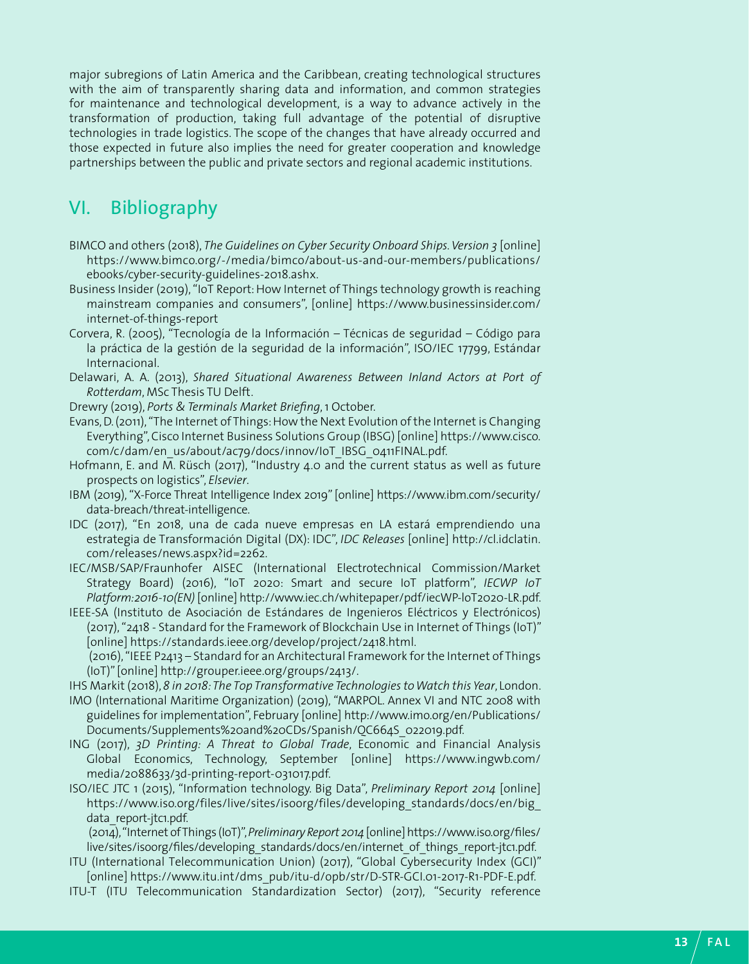<span id="page-12-0"></span>major subregions of Latin America and the Caribbean, creating technological structures with the aim of transparently sharing data and information, and common strategies for maintenance and technological development, is a way to advance actively in the transformation of production, taking full advantage of the potential of disruptive technologies in trade logistics. The scope of the changes that have already occurred and those expected in future also implies the need for greater cooperation and knowledge partnerships between the public and private sectors and regional academic institutions.

### VI. Bibliography

- BIMCO and others (2018), *The Guidelines on Cyber Security Onboard Ships. Version 3* [online] [https://www.bimco.org/-/media/bimco/about-us-and-our-members/publications/](https://www.bimco.org/-/media/bimco/about-us-and-our-members/publications/ebooks/cyber-security-guidelines-2018.ashx) [ebooks/cyber-security-guidelines-2018.ashx.](https://www.bimco.org/-/media/bimco/about-us-and-our-members/publications/ebooks/cyber-security-guidelines-2018.ashx)
- Business Insider (2019), "IoT Report: How Internet of Things technology growth is reaching mainstream companies and consumers", [online] [https://www.businessinsider.com/](https://www.businessinsider.com/internet-of-things-report) [internet-of-things-report](https://www.businessinsider.com/internet-of-things-report)
- Corvera, R. (2005), "Tecnología de la Información Técnicas de seguridad Código para la práctica de la gestión de la seguridad de la información", ISO/IEC 17799, Estándar Internacional.
- Delawari, A. A. (2013), *Shared Situational Awareness Between Inland Actors at Port of Rotterdam*, MSc Thesis TU Delft.
- Drewry (2019), *Ports & Terminals Market Briefing*, 1 October.
- Evans, D. (2011), "The Internet of Things: How the Next Evolution of the Internet is Changing Everything", Cisco Internet Business Solutions Group (IBSG) [online] [https://www.cisco.](https://www.cisco.com/c/dam/en_us/about/ac79/docs/innov/IoT_IBSG_0411FINAL.pdf) [com/c/dam/en\\_us/about/ac79/docs/innov/IoT\\_IBSG\\_0411FINAL.pdf](https://www.cisco.com/c/dam/en_us/about/ac79/docs/innov/IoT_IBSG_0411FINAL.pdf).
- Hofmann, E. and M. Rüsch (2017), "Industry 4.0 and the current status as well as future prospects on logistics", *Elsevier*.
- IBM (2019), "X-Force Threat Intelligence Index 2019" [online] [https://www.ibm.com/security/](https://www.ibm.com/security/data-breach/threat-intelligence) [data-breach/threat-intelligence](https://www.ibm.com/security/data-breach/threat-intelligence).
- IDC (2017), "En 2018, una de cada nueve empresas en LA estará emprendiendo una estrategia de Transformación Digital (DX): IDC", *IDC Releases* [online] [http://cl.idclatin.](http://cl.idclatin.com/releases/news.aspx?id=2262) [com/releases/news.aspx?id=2262.](http://cl.idclatin.com/releases/news.aspx?id=2262)
- IEC/MSB/SAP/Fraunhofer AISEC (International Electrotechnical Commission/Market Strategy Board) (2016), "IoT 2020: Smart and secure IoT platform", *IECWP IoT Platform:2016-10(EN)* [online] [http://www.iec.ch/whitepaper/pdf/iecWP-loT2020-LR.pdf.](http://www.iec.ch/whitepaper/pdf/iecWP-loT2020-LR.pdf)
- IEEE-SA (Instituto de Asociación de Estándares de Ingenieros Eléctricos y Electrónicos) (2017), "2418 - Standard for the Framework of Blockchain Use in Internet of Things (IoT)" [online] [https://standards.ieee.org/develop/project/2418.html.](https://standards.ieee.org/develop/project/2418.html)

 (2016), "IEEE P2413 – Standard for an Architectural Framework for the Internet of Things (IoT)" [online] [http://grouper.ieee.org/groups/2413/.](http://grouper.ieee.org/groups/2413/)

- IHS Markit (2018), *8 in 2018: The Top Transformative Technologies to Watch this Year*, London.
- IMO (International Maritime Organization) (2019), "MARPOL. Annex VI and NTC 2008 with guidelines for implementation", February [online] [http://www.imo.org/en/Publications/](http://www.imo.org/en/Publications/Documents/Supplements%20and%20CDs/Spanish/QC664S_022019.pdf) [Documents/Supplements%20and%20CDs/Spanish/QC664S\\_022019.pdf.](http://www.imo.org/en/Publications/Documents/Supplements%20and%20CDs/Spanish/QC664S_022019.pdf)
- ING (2017), *3D Printing: A Threat to Global Trade*, Economic and Financial Analysis Global Economics, Technology, September [online] [https://www.ingwb.com/](https://www.ingwb.com/media/2088633/3d-printing-report-031017.pdf) [media/2088633/3d-printing-report-031017.pdf.](https://www.ingwb.com/media/2088633/3d-printing-report-031017.pdf)
- ISO/IEC JTC 1 (2015), "Information technology. Big Data", *Preliminary Report 2014* [online] [https://www.iso.org/files/live/sites/isoorg/files/developing\\_standards/docs/en/big\\_](https://www.iso.org/files/live/sites/isoorg/files/developing_standards/docs/en/big_data_report-jtc1.pdf) [data\\_report-jtc1.pdf.](https://www.iso.org/files/live/sites/isoorg/files/developing_standards/docs/en/big_data_report-jtc1.pdf)

 (2014), "Internet of Things (IoT)", *Preliminary Report 2014* [online] [https://www.iso.org/files/](https://www.iso.org/files/live/sites/isoorg/files/developing_standards/docs/en/internet_of_things_report-jtc1.pdf) [live/sites/isoorg/files/developing\\_standards/docs/en/internet\\_of\\_things\\_report-jtc1.pdf.](https://www.iso.org/files/live/sites/isoorg/files/developing_standards/docs/en/internet_of_things_report-jtc1.pdf)

- ITU (International Telecommunication Union) (2017), "Global Cybersecurity Index (GCI)" [online] [https://www.itu.int/dms\\_pub/itu-d/opb/str/D-STR-GCI.01-2017-R1-PDF-E.pdf.](https://www.itu.int/dms_pub/itu-d/opb/str/D-STR-GCI.01-2017-R1-PDF-E.pdf)
- ITU-T (ITU Telecommunication Standardization Sector) (2017), "Security reference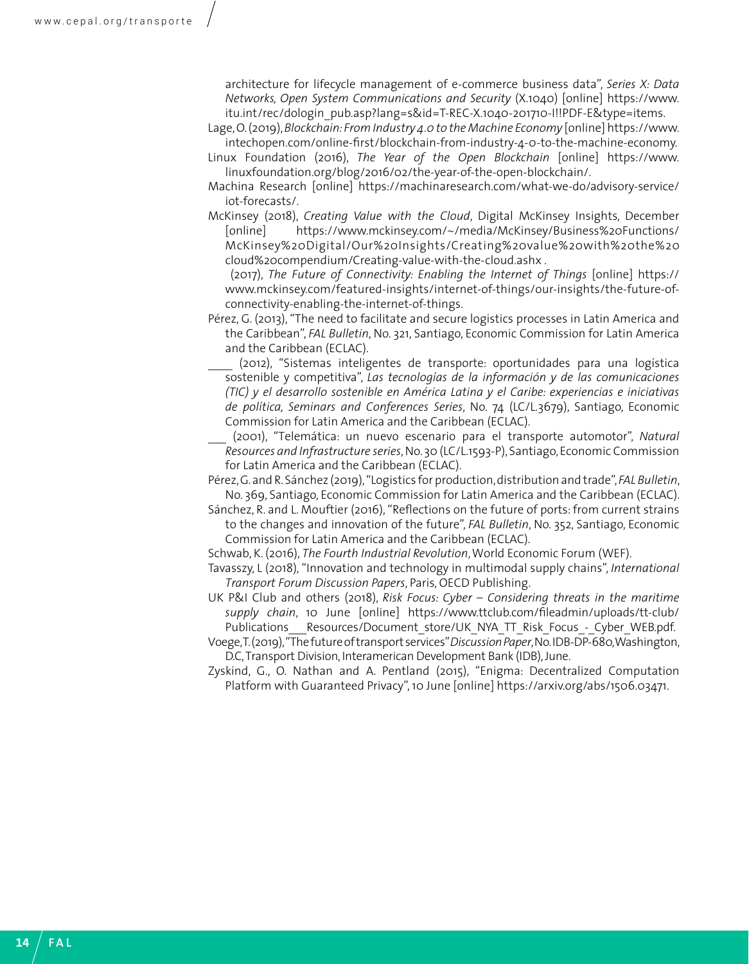architecture for lifecycle management of e-commerce business data", *Series X: Data Networks, Open System Communications and Security* (X.1040) [online] [https://www.](https://www.itu.int/rec/dologin_pub.asp?lang=s&id=T-REC-X.1040-201710-I!!PDF-E&type=items) [itu.int/rec/dologin\\_pub.asp?lang=s&id=T-REC-X.1040-201710-I!!PDF-E&type=items](https://www.itu.int/rec/dologin_pub.asp?lang=s&id=T-REC-X.1040-201710-I!!PDF-E&type=items).

- Lage, O. (2019), *Blockchain: From Industry 4.0 to the Machine Economy* [online] [https://www.](https://www.intechopen.com/online-first/blockchain-from-industry-4-0-to-the-machine-economy) [intechopen.com/online-first/blockchain-from-industry-4-0-to-the-machine-economy.](https://www.intechopen.com/online-first/blockchain-from-industry-4-0-to-the-machine-economy)
- Linux Foundation (2016), *The Year of the Open Blockchain* [online] [https://www.](https://www.linuxfoundation.org/blog/2016/02/the-year-of-the-open-blockchain/) [linuxfoundation.org/blog/2016/02/the-year-of-the-open-blockchain/.](https://www.linuxfoundation.org/blog/2016/02/the-year-of-the-open-blockchain/)
- Machina Research [online] [https://machinaresearch.com/what-we-do/advisory-service/](https://machinaresearch.com/what-we-do/advisory-service/iot-forecasts/) [iot-forecasts/](https://machinaresearch.com/what-we-do/advisory-service/iot-forecasts/).
- McKinsey (2018), *Creating Value with the Cloud*, Digital McKinsey Insights, December [online] [https://www.mckinsey.com/~/media/McKinsey/Business%20Functions/](https://www.mckinsey.com/~/media/McKinsey/Business%20Functions/McKinsey%20Digital/Our%20Insights/Creating%20value%20with%20the%20cloud%20compendium/Creating-value-with-the-cloud.ashx) [McKinsey%20Digital/Our%20Insights/Creating%20value%20with%20the%20](https://www.mckinsey.com/~/media/McKinsey/Business%20Functions/McKinsey%20Digital/Our%20Insights/Creating%20value%20with%20the%20cloud%20compendium/Creating-value-with-the-cloud.ashx) [cloud%20compendium/Creating-value-with-the-cloud.ashx](https://www.mckinsey.com/~/media/McKinsey/Business%20Functions/McKinsey%20Digital/Our%20Insights/Creating%20value%20with%20the%20cloud%20compendium/Creating-value-with-the-cloud.ashx) .

 (2017), *The Future of Connectivity: Enabling the Internet of Things* [online] https:// www.mckinsey.com/featured-insights/internet-of-things/our-insights/the-future-ofconnectivity-enabling-the-internet-of-things.

- Pérez, G. (2013), "The need to facilitate and secure logistics processes in Latin America and the Caribbean", *FAL Bulletin*, No. 321, Santiago, Economic Commission for Latin America and the Caribbean (ECLAC).
- \_\_\_\_ (2012), "Sistemas inteligentes de transporte: oportunidades para una logística sostenible y competitiva", *Las tecnologías de la información y de las comunicaciones (TIC) y el desarrollo sostenible en América Latina y el Caribe: experiencias e iniciativas de política, Seminars and Conferences Series*, No. 74 (LC/L.3679), Santiago, Economic Commission for Latin America and the Caribbean (ECLAC).
- \_\_\_ (2001), "Telemática: un nuevo escenario para el transporte automotor", *Natural Resources and Infrastructure series*, No. 30 (LC/L.1593-P), Santiago, Economic Commission for Latin America and the Caribbean (ECLAC).
- Pérez, G. and R. Sánchez (2019), "Logistics for production, distribution and trade", *FAL Bulletin*, No. 369, Santiago, Economic Commission for Latin America and the Caribbean (ECLAC).
- Sánchez, R. and L. Mouftier (2016), "Reflections on the future of ports: from current strains to the changes and innovation of the future", *FAL Bulletin*, No. 352, Santiago, Economic Commission for Latin America and the Caribbean (ECLAC).
- Schwab, K. (2016), *The Fourth Industrial Revolution*, World Economic Forum (WEF).
- Tavasszy, L (2018), "Innovation and technology in multimodal supply chains", *International Transport Forum Discussion Papers*, Paris, OECD Publishing.

UK P&I Club and others (2018), *Risk Focus: Cyber – Considering threats in the maritime supply chain*, 10 June [online] [https://www.ttclub.com/fileadmin/uploads/tt-club/](https://www.ttclub.com/fileadmin/uploads/tt-club/Publications___Resources/Document_store/UK_NYA_TT_Risk_Focus_-_Cyber_WEB.pdf) Publications\_\_\_\_Resources/Document\_store/UK\_NYA\_TT\_Risk\_Focus\_-\_Cyber\_WEB.pdf.

- Voege, T. (2019), "The future of transport services" *Discussion Paper*, No. IDB-DP-680, Washington, D.C, Transport Division, Interamerican Development Bank (IDB), June.
- Zyskind, G., O. Nathan and A. Pentland (2015), "Enigma: Decentralized Computation Platform with Guaranteed Privacy", 10 June [online]<https://arxiv.org/abs/1506.03471>.